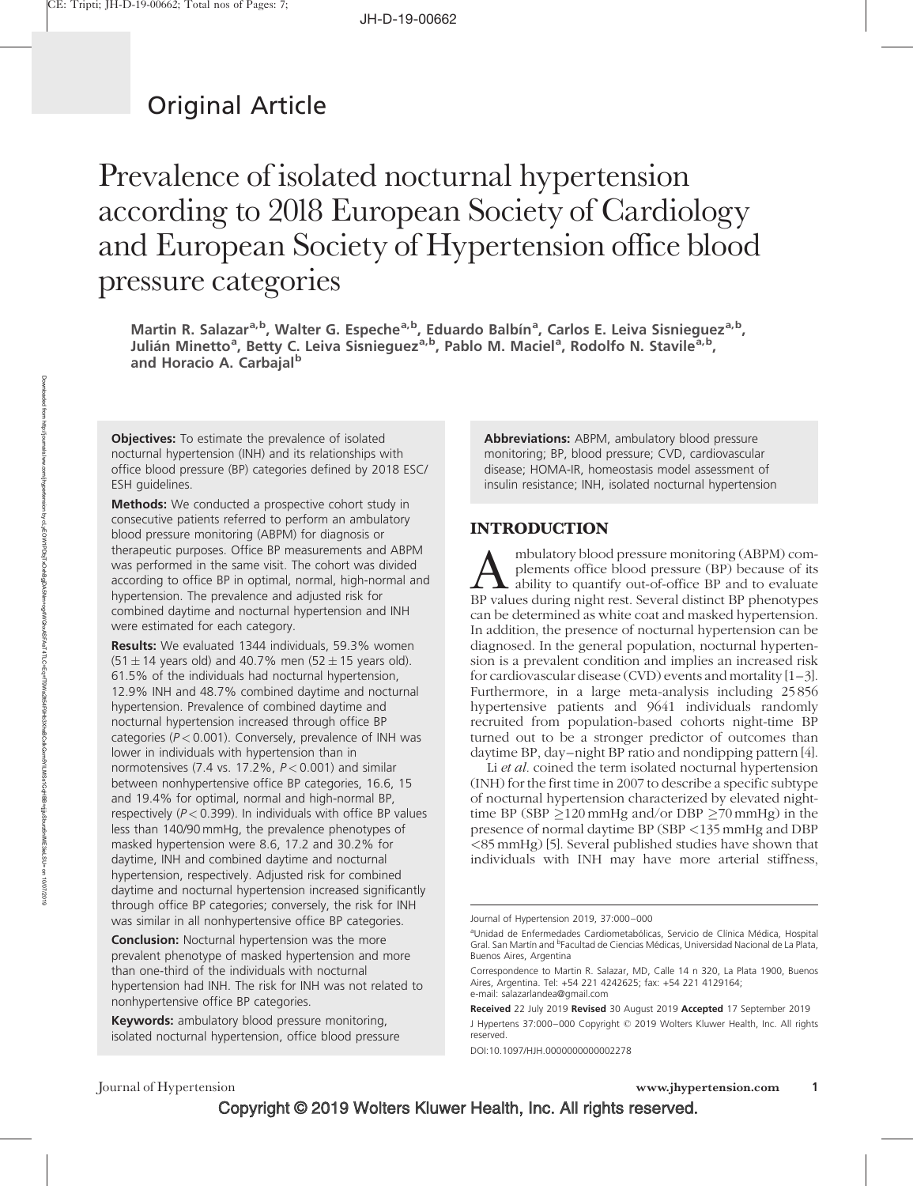# Original Article

# Prevalence of isolated nocturnal hypertension according to 2018 European Society of Cardiology and European Society of Hypertension office blood pressure categories

Martin R. Salazar<sup>a,b</sup>, Walter G. Espeche<sup>a,b</sup>, Eduardo Balbín<sup>a</sup>, Carlos E. Leiva Sisnieguez<sup>a,b</sup>, Julián Minetto<sup>a</sup>, Betty C. Leiva Sisnieguez<sup>a,b</sup>, Pablo M. Maciel<sup>a</sup>, Rodolfo N. Stavile<sup>a,b</sup>, and Horacio A. Carbajal<sup>b</sup>

**Objectives:** To estimate the prevalence of isolated nocturnal hypertension (INH) and its relationships with office blood pressure (BP) categories defined by 2018 ESC/ ESH guidelines.

Methods: We conducted a prospective cohort study in consecutive patients referred to perform an ambulatory blood pressure monitoring (ABPM) for diagnosis or therapeutic purposes. Office BP measurements and ABPM was performed in the same visit. The cohort was divided according to office BP in optimal, normal, high-normal and hypertension. The prevalence and adjusted risk for combined daytime and nocturnal hypertension and INH were estimated for each category.

Results: We evaluated 1344 individuals, 59.3% women (51  $\pm$  14 years old) and 40.7% men (52  $\pm$  15 years old). 61.5% of the individuals had nocturnal hypertension, 12.9% INH and 48.7% combined daytime and nocturnal hypertension. Prevalence of combined daytime and nocturnal hypertension increased through office BP categories ( $P < 0.001$ ). Conversely, prevalence of INH was lower in individuals with hypertension than in normotensives (7.4 vs. 17.2%,  $P < 0.001$ ) and similar between nonhypertensive office BP categories, 16.6, 15 and 19.4% for optimal, normal and high-normal BP, respectively ( $P < 0.399$ ). In individuals with office BP values less than 140/90 mmHg, the prevalence phenotypes of masked hypertension were 8.6, 17.2 and 30.2% for daytime, INH and combined daytime and nocturnal hypertension, respectively. Adjusted risk for combined daytime and nocturnal hypertension increased significantly through office BP categories; conversely, the risk for INH was similar in all nonhypertensive office BP categories.

**Conclusion:** Nocturnal hypertension was the more prevalent phenotype of masked hypertension and more than one-third of the individuals with nocturnal hypertension had INH. The risk for INH was not related to nonhypertensive office BP categories.

**Keywords:** ambulatory blood pressure monitoring, isolated nocturnal hypertension, office blood pressure Abbreviations: ABPM, ambulatory blood pressure monitoring; BP, blood pressure; CVD, cardiovascular disease; HOMA-IR, homeostasis model assessment of insulin resistance; INH, isolated nocturnal hypertension

#### INTRODUCTION

mbulatory blood pressure monitoring (ABPM) complements office blood pressure (BP) because of its ability to quantify out-of-office BP and to evaluate BP values during night rest. Several distinct BP phenotypes can be determined as white coat and masked hypertension. In addition, the presence of nocturnal hypertension can be diagnosed. In the general population, nocturnal hypertension is a prevalent condition and implies an increased risk for cardiovascular disease (CVD) events and mortality [1–3]. Furthermore, in a large meta-analysis including 25856 hypertensive patients and 9641 individuals randomly recruited from population-based cohorts night-time BP turned out to be a stronger predictor of outcomes than daytime BP, day–night BP ratio and nondipping pattern [4].

Li *et al.* coined the term isolated nocturnal hypertension (INH) for the first time in 2007 to describe a specific subtype of nocturnal hypertension characterized by elevated nighttime BP (SBP  $>120$  mmHg and/or DBP  $>70$  mmHg) in the presence of normal daytime BP (SBP <135 mmHg and DBP <85mmHg) [5]. Several published studies have shown that individuals with INH may have more arterial stiffness,

Journal of Hypertension 2019, 37:000–000

DOI:10.1097/HJH.0000000000002278

aUnidad de Enfermedades Cardiometabólicas, Servicio de Clínica Médica, Hospital Gral. San Martín and <sup>b</sup>Facultad de Ciencias Médicas, Universidad Nacional de La Plata, Buenos Aires, Argentina

Correspondence to Martin R. Salazar, MD, Calle 14 n 320, La Plata 1900, Buenos Aires, Argentina. Tel: +54 221 4242625; fax: +54 221 4129164; e-mail: [salazarlandea@gmail.com](mailto:salazarlandea@gmail.com)

Received 22 July 2019 Revised 30 August 2019 Accepted 17 September 2019

J Hypertens 37:000–000 Copyright © 2019 Wolters Kluwer Health, Inc. All rights reserved.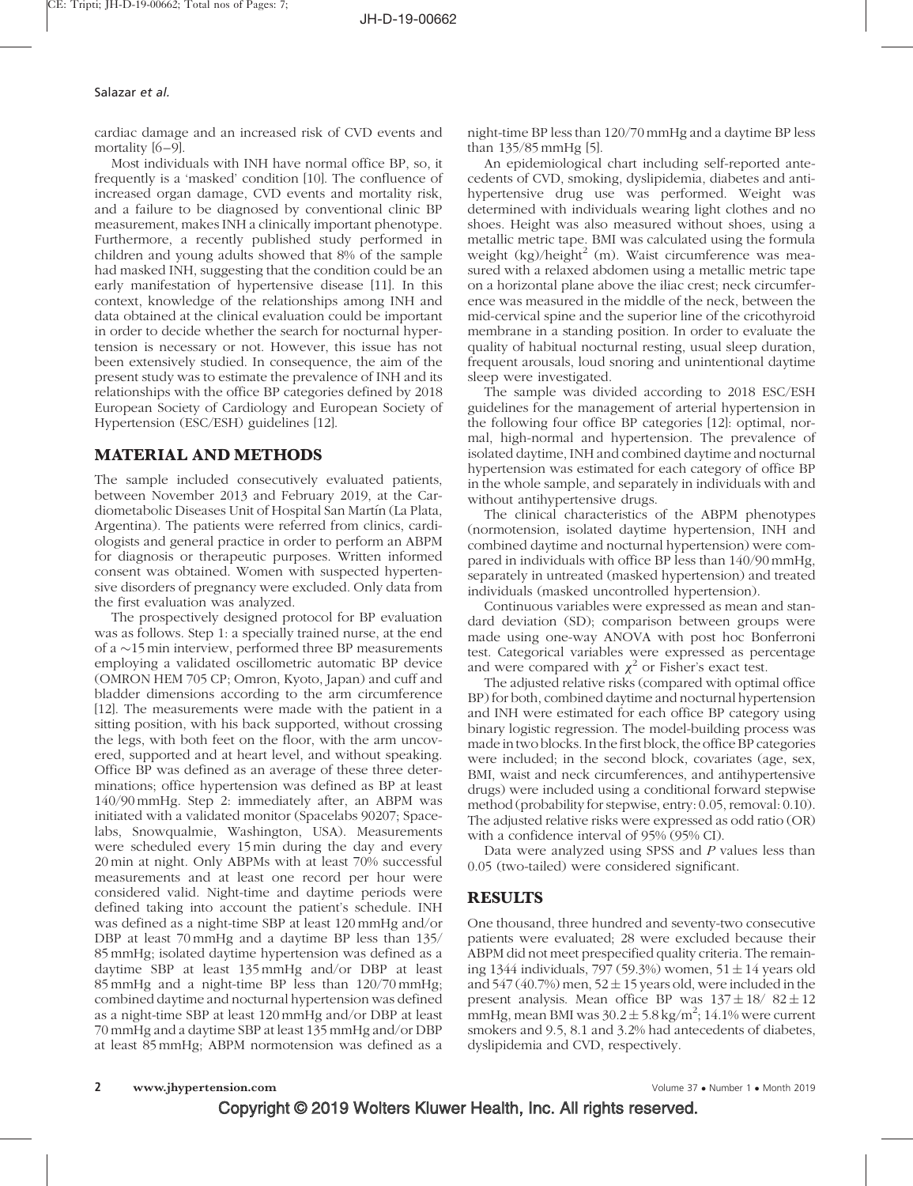cardiac damage and an increased risk of CVD events and mortality [6–9].

Most individuals with INH have normal office BP, so, it frequently is a 'masked' condition [10]. The confluence of increased organ damage, CVD events and mortality risk, and a failure to be diagnosed by conventional clinic BP measurement, makes INH a clinically important phenotype. Furthermore, a recently published study performed in children and young adults showed that 8% of the sample had masked INH, suggesting that the condition could be an early manifestation of hypertensive disease [11]. In this context, knowledge of the relationships among INH and data obtained at the clinical evaluation could be important in order to decide whether the search for nocturnal hypertension is necessary or not. However, this issue has not been extensively studied. In consequence, the aim of the present study was to estimate the prevalence of INH and its relationships with the office BP categories defined by 2018 European Society of Cardiology and European Society of Hypertension (ESC/ESH) guidelines [12].

# MATERIAL AND METHODS

The sample included consecutively evaluated patients, between November 2013 and February 2019, at the Cardiometabolic Diseases Unit of Hospital San Martín (La Plata, Argentina). The patients were referred from clinics, cardiologists and general practice in order to perform an ABPM for diagnosis or therapeutic purposes. Written informed consent was obtained. Women with suspected hypertensive disorders of pregnancy were excluded. Only data from the first evaluation was analyzed.

The prospectively designed protocol for BP evaluation was as follows. Step 1: a specially trained nurse, at the end of a  $\sim$ 15 min interview, performed three BP measurements employing a validated oscillometric automatic BP device (OMRON HEM 705 CP; Omron, Kyoto, Japan) and cuff and bladder dimensions according to the arm circumference [12]. The measurements were made with the patient in a sitting position, with his back supported, without crossing the legs, with both feet on the floor, with the arm uncovered, supported and at heart level, and without speaking. Office BP was defined as an average of these three determinations; office hypertension was defined as BP at least 140/90 mmHg. Step 2: immediately after, an ABPM was initiated with a validated monitor (Spacelabs 90207; Spacelabs, Snowqualmie, Washington, USA). Measurements were scheduled every 15min during the day and every 20min at night. Only ABPMs with at least 70% successful measurements and at least one record per hour were considered valid. Night-time and daytime periods were defined taking into account the patient's schedule. INH was defined as a night-time SBP at least 120 mmHg and/or DBP at least 70mmHg and a daytime BP less than 135/ 85mmHg; isolated daytime hypertension was defined as a daytime SBP at least 135 mmHg and/or DBP at least 85mmHg and a night-time BP less than 120/70 mmHg; combined daytime and nocturnal hypertension was defined as a night-time SBP at least 120mmHg and/or DBP at least 70mmHg and a daytime SBP at least 135 mmHg and/or DBP at least 85mmHg; ABPM normotension was defined as a

night-time BP less than 120/70 mmHg and a daytime BP less than 135/85 mmHg [5].

An epidemiological chart including self-reported antecedents of CVD, smoking, dyslipidemia, diabetes and antihypertensive drug use was performed. Weight was determined with individuals wearing light clothes and no shoes. Height was also measured without shoes, using a metallic metric tape. BMI was calculated using the formula weight  $(kg)/\text{height}^2$  (m). Waist circumference was measured with a relaxed abdomen using a metallic metric tape on a horizontal plane above the iliac crest; neck circumference was measured in the middle of the neck, between the mid-cervical spine and the superior line of the cricothyroid membrane in a standing position. In order to evaluate the quality of habitual nocturnal resting, usual sleep duration, frequent arousals, loud snoring and unintentional daytime sleep were investigated.

The sample was divided according to 2018 ESC/ESH guidelines for the management of arterial hypertension in the following four office BP categories [12]: optimal, normal, high-normal and hypertension. The prevalence of isolated daytime, INH and combined daytime and nocturnal hypertension was estimated for each category of office BP in the whole sample, and separately in individuals with and without antihypertensive drugs.

The clinical characteristics of the ABPM phenotypes (normotension, isolated daytime hypertension, INH and combined daytime and nocturnal hypertension) were compared in individuals with office BP less than 140/90 mmHg, separately in untreated (masked hypertension) and treated individuals (masked uncontrolled hypertension).

Continuous variables were expressed as mean and standard deviation (SD); comparison between groups were made using one-way ANOVA with post hoc Bonferroni test. Categorical variables were expressed as percentage and were compared with  $\chi^2$  or Fisher's exact test.

The adjusted relative risks (compared with optimal office BP) for both, combined daytime and nocturnal hypertension and INH were estimated for each office BP category using binary logistic regression. The model-building process was made in two blocks. In the first block, the office BP categories were included; in the second block, covariates (age, sex, BMI, waist and neck circumferences, and antihypertensive drugs) were included using a conditional forward stepwise method (probability for stepwise, entry: 0.05, removal: 0.10). The adjusted relative risks were expressed as odd ratio (OR) with a confidence interval of 95% (95% CI).

Data were analyzed using SPSS and P values less than 0.05 (two-tailed) were considered significant.

## RESULTS

One thousand, three hundred and seventy-two consecutive patients were evaluated; 28 were excluded because their ABPM did not meet prespecified quality criteria. The remaining 1344 individuals, 797 (59.3%) women, 51  $\pm$  14 years old and 547 (40.7%) men, 52  $\pm$  15 years old, were included in the present analysis. Mean office BP was  $137 \pm 18/82 \pm 12$ mmHg, mean BMI was  $30.2 \pm 5.8$  kg/m<sup>2</sup>; 14.1% were current smokers and 9.5, 8.1 and 3.2% had antecedents of diabetes, dyslipidemia and CVD, respectively.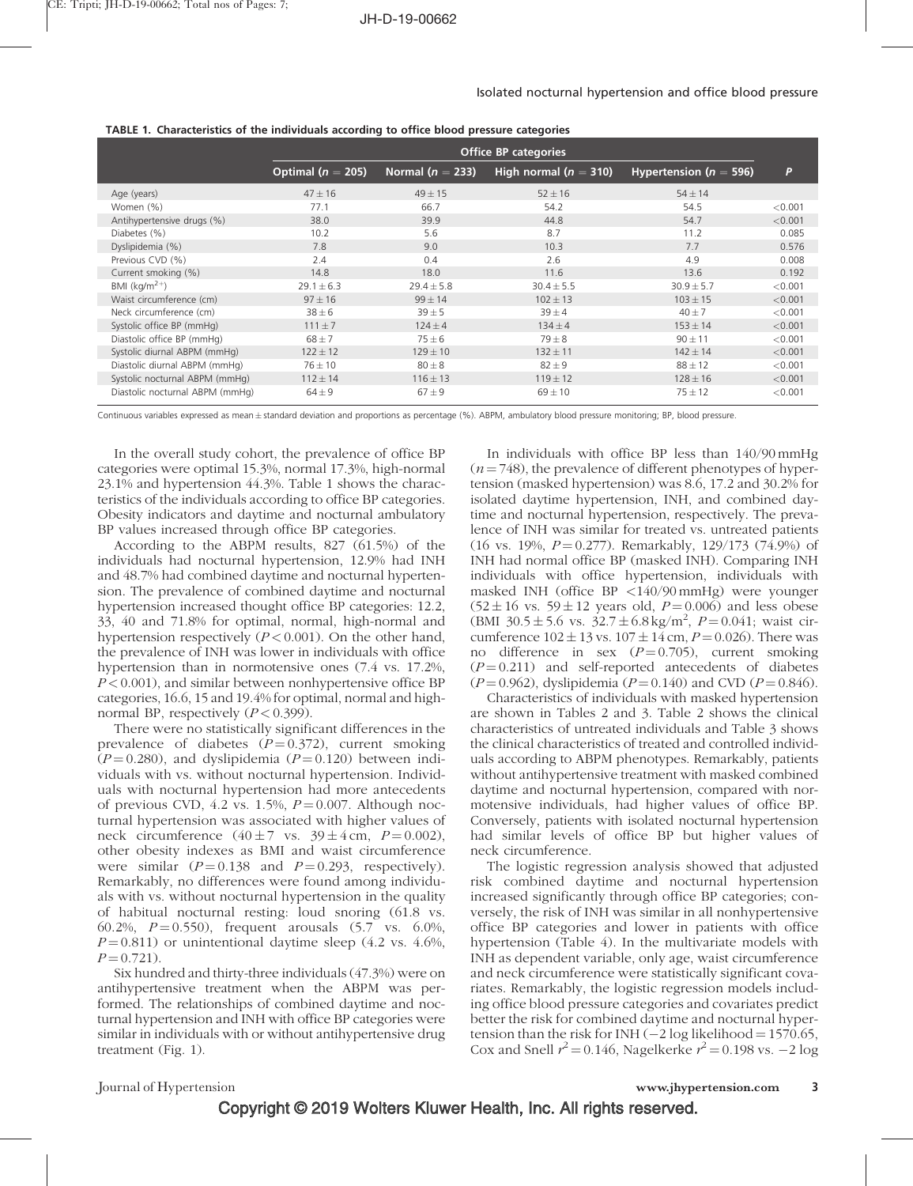|  |  |  | TABLE 1. Characteristics of the individuals according to office blood pressure categories |
|--|--|--|-------------------------------------------------------------------------------------------|
|  |  |  |                                                                                           |

|                                 | <b>Office BP categories</b> |                      |                         |                            |         |  |  |  |
|---------------------------------|-----------------------------|----------------------|-------------------------|----------------------------|---------|--|--|--|
|                                 | Optimal ( $n = 205$ )       | Normal ( $n = 233$ ) | High normal $(n = 310)$ | Hypertension ( $n = 596$ ) | P       |  |  |  |
| Age (years)                     | $47 \pm 16$                 | $49 \pm 15$          | $52 \pm 16$             | $54 \pm 14$                |         |  |  |  |
| Women (%)                       | 77.1                        | 66.7                 | 54.2                    | 54.5                       | < 0.001 |  |  |  |
| Antihypertensive drugs (%)      | 38.0                        | 39.9                 | 44.8                    | 54.7                       | < 0.001 |  |  |  |
| Diabetes (%)                    | 10.2                        | 5.6                  | 8.7                     | 11.2                       | 0.085   |  |  |  |
| Dyslipidemia (%)                | 7.8                         | 9.0                  | 10.3                    | 7.7                        | 0.576   |  |  |  |
| Previous CVD (%)                | 2.4                         | 0.4                  | 2.6                     | 4.9                        | 0.008   |  |  |  |
| Current smoking (%)             | 14.8                        | 18.0                 | 11.6                    | 13.6                       | 0.192   |  |  |  |
| BMI $(kq/m2+)$                  | $29.1 \pm 6.3$              | $29.4 \pm 5.8$       | $30.4 \pm 5.5$          | $30.9 \pm 5.7$             | < 0.001 |  |  |  |
| Waist circumference (cm)        | $97 \pm 16$                 | $99 \pm 14$          | $102 \pm 13$            | $103 \pm 15$               | < 0.001 |  |  |  |
| Neck circumference (cm)         | $38 \pm 6$                  | $39 + 5$             | $39 + 4$                | $40 + 7$                   | < 0.001 |  |  |  |
| Systolic office BP (mmHg)       | $111 \pm 7$                 | $124 \pm 4$          | $134 \pm 4$             | $153 \pm 14$               | < 0.001 |  |  |  |
| Diastolic office BP (mmHq)      | $68 + 7$                    | $75 \pm 6$           | $79\pm8$                | $90 \pm 11$                | < 0.001 |  |  |  |
| Systolic diurnal ABPM (mmHg)    | $122 \pm 12$                | $129 \pm 10$         | $132 \pm 11$            | $142 \pm 14$               | < 0.001 |  |  |  |
| Diastolic diurnal ABPM (mmHg)   | $76 \pm 10$                 | $80 \pm 8$           | $82 \pm 9$              | $88 \pm 12$                | < 0.001 |  |  |  |
| Systolic nocturnal ABPM (mmHg)  | $112 \pm 14$                | $116 \pm 13$         | $119 \pm 12$            | $128 \pm 16$               | < 0.001 |  |  |  |
| Diastolic nocturnal ABPM (mmHq) | $64 \pm 9$                  | $67 + 9$             | $69 \pm 10$             | $75 \pm 12$                | < 0.001 |  |  |  |

Continuous variables expressed as mean ± standard deviation and proportions as percentage (%). ABPM, ambulatory blood pressure monitoring; BP, blood pressure.

In the overall study cohort, the prevalence of office BP categories were optimal 15.3%, normal 17.3%, high-normal 23.1% and hypertension 44.3%. Table 1 shows the characteristics of the individuals according to office BP categories. Obesity indicators and daytime and nocturnal ambulatory BP values increased through office BP categories.

According to the ABPM results, 827 (61.5%) of the individuals had nocturnal hypertension, 12.9% had INH and 48.7% had combined daytime and nocturnal hypertension. The prevalence of combined daytime and nocturnal hypertension increased thought office BP categories: 12.2, 33, 40 and 71.8% for optimal, normal, high-normal and hypertension respectively  $(P < 0.001)$ . On the other hand, the prevalence of INH was lower in individuals with office hypertension than in normotensive ones (7.4 vs. 17.2%,  $P < 0.001$ ), and similar between nonhypertensive office BP categories, 16.6, 15 and 19.4% for optimal, normal and highnormal BP, respectively  $(P < 0.399)$ .

There were no statistically significant differences in the prevalence of diabetes  $(P=0.372)$ , current smoking  $(P=0.280)$ , and dyslipidemia  $(P=0.120)$  between individuals with vs. without nocturnal hypertension. Individuals with nocturnal hypertension had more antecedents of previous CVD, 4.2 vs. 1.5%,  $P = 0.007$ . Although nocturnal hypertension was associated with higher values of neck circumference  $(40 \pm 7 \text{ vs. } 39 \pm 4 \text{ cm}, P = 0.002)$ , other obesity indexes as BMI and waist circumference were similar  $(P = 0.138$  and  $P = 0.293$ , respectively). Remarkably, no differences were found among individuals with vs. without nocturnal hypertension in the quality of habitual nocturnal resting: loud snoring (61.8 vs. 60.2%,  $P = 0.550$ , frequent arousals (5.7 vs. 6.0%,  $P = 0.811$ ) or unintentional daytime sleep (4.2 vs. 4.6%,  $P = 0.721$ .

Six hundred and thirty-three individuals (47.3%) were on antihypertensive treatment when the ABPM was performed. The relationships of combined daytime and nocturnal hypertension and INH with office BP categories were similar in individuals with or without antihypertensive drug treatment (Fig. 1).

In individuals with office BP less than 140/90 mmHg  $(n = 748)$ , the prevalence of different phenotypes of hypertension (masked hypertension) was 8.6, 17.2 and 30.2% for isolated daytime hypertension, INH, and combined daytime and nocturnal hypertension, respectively. The prevalence of INH was similar for treated vs. untreated patients (16 vs. 19%,  $P = 0.277$ ). Remarkably, 129/173 (74.9%) of INH had normal office BP (masked INH). Comparing INH individuals with office hypertension, individuals with masked INH (office BP <140/90 mmHg) were younger  $(52 \pm 16 \text{ vs. } 59 \pm 12 \text{ years old}, P=0.006)$  and less obese  $(BMI \ 30.5 \pm 5.6 \ vs. \ 32.7 \pm 6.8 \ kg/m^2, \ P = 0.041;$  waist circumference  $102 \pm 13$  vs.  $107 \pm 14$  cm,  $P = 0.026$ ). There was no difference in sex  $(P=0.705)$ , current smoking  $(P = 0.211)$  and self-reported antecedents of diabetes  $(P = 0.962)$ , dyslipidemia  $(P = 0.140)$  and CVD  $(P = 0.846)$ .

Characteristics of individuals with masked hypertension are shown in Tables 2 and 3. Table 2 shows the clinical characteristics of untreated individuals and Table 3 shows the clinical characteristics of treated and controlled individuals according to ABPM phenotypes. Remarkably, patients without antihypertensive treatment with masked combined daytime and nocturnal hypertension, compared with normotensive individuals, had higher values of office BP. Conversely, patients with isolated nocturnal hypertension had similar levels of office BP but higher values of neck circumference.

The logistic regression analysis showed that adjusted risk combined daytime and nocturnal hypertension increased significantly through office BP categories; conversely, the risk of INH was similar in all nonhypertensive office BP categories and lower in patients with office hypertension (Table 4). In the multivariate models with INH as dependent variable, only age, waist circumference and neck circumference were statistically significant covariates. Remarkably, the logistic regression models including office blood pressure categories and covariates predict better the risk for combined daytime and nocturnal hypertension than the risk for INH  $(-2 \log likelihood = 1570.65$ , Cox and Snell  $r^2 = 0.146$ , Nagelkerke  $r^2 = 0.198$  vs.  $-2 \log$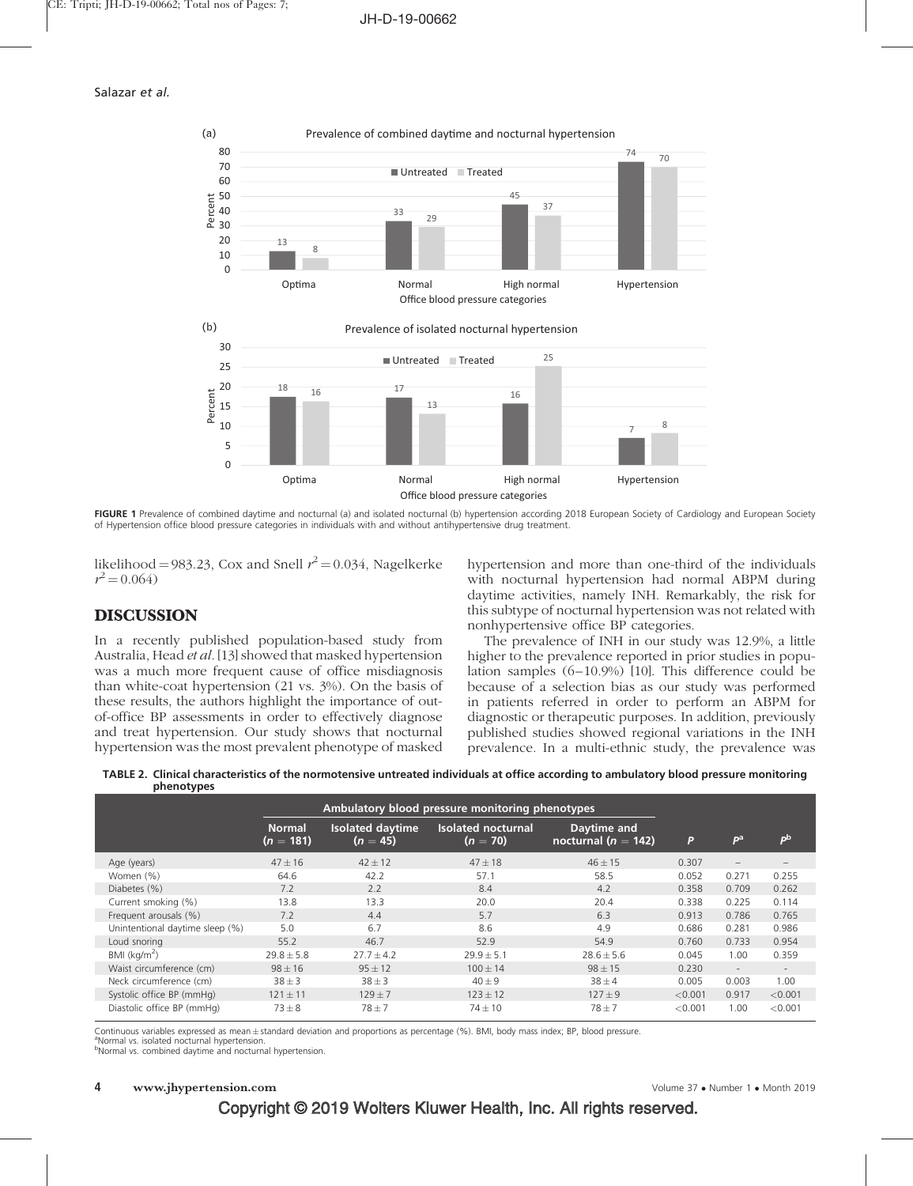

FIGURE 1 Prevalence of combined daytime and nocturnal (a) and isolated nocturnal (b) hypertension according 2018 European Society of Cardiology and European Society of Hypertension office blood pressure categories in individuals with and without antihypertensive drug treatment.

likelihood = 983.23, Cox and Snell  $r^2$  = 0.034, Nagelkerke  $r^2 = 0.064$ 

## DISCUSSION

In a recently published population-based study from Australia, Head et al. [13] showed that masked hypertension was a much more frequent cause of office misdiagnosis than white-coat hypertension (21 vs. 3%). On the basis of these results, the authors highlight the importance of outof-office BP assessments in order to effectively diagnose and treat hypertension. Our study shows that nocturnal hypertension was the most prevalent phenotype of masked hypertension and more than one-third of the individuals with nocturnal hypertension had normal ABPM during daytime activities, namely INH. Remarkably, the risk for this subtype of nocturnal hypertension was not related with nonhypertensive office BP categories.

The prevalence of INH in our study was 12.9%, a little higher to the prevalence reported in prior studies in population samples (6–10.9%) [10]. This difference could be because of a selection bias as our study was performed in patients referred in order to perform an ABPM for diagnostic or therapeutic purposes. In addition, previously published studies showed regional variations in the INH prevalence. In a multi-ethnic study, the prevalence was

|            | TABLE 2. Clinical characteristics of the normotensive untreated individuals at office according to ambulatory blood pressure monitoring |
|------------|-----------------------------------------------------------------------------------------------------------------------------------------|
| phenotypes |                                                                                                                                         |
|            | Ambulatory blood pressure monitoring phenotypes                                                                                         |

|                                 |                              | Ambulatory blood pressure monitoring phenotypes |                                         |                                      |         |                |         |
|---------------------------------|------------------------------|-------------------------------------------------|-----------------------------------------|--------------------------------------|---------|----------------|---------|
|                                 | <b>Normal</b><br>$(n = 181)$ | <b>Isolated daytime</b><br>$(n = 45)$           | <b>Isolated nocturnal</b><br>$(n = 70)$ | Daytime and<br>nocturnal $(n = 142)$ | P       | P <sup>a</sup> | pb      |
| Age (years)                     | $47 \pm 16$                  | $42 \pm 12$                                     | $47 \pm 18$                             | $46 \pm 15$                          | 0.307   | $-$            |         |
| Women (%)                       | 64.6                         | 42.2                                            | 57.1                                    | 58.5                                 | 0.052   | 0.271          | 0.255   |
| Diabetes (%)                    | 7.2                          | 2.2                                             | 8.4                                     | 4.2                                  | 0.358   | 0.709          | 0.262   |
| Current smoking (%)             | 13.8                         | 13.3                                            | 20.0                                    | 20.4                                 | 0.338   | 0.225          | 0.114   |
| Frequent arousals (%)           | 7.2                          | 4.4                                             | 5.7                                     | 6.3                                  | 0.913   | 0.786          | 0.765   |
| Unintentional daytime sleep (%) | 5.0                          | 6.7                                             | 8.6                                     | 4.9                                  | 0.686   | 0.281          | 0.986   |
| Loud snoring                    | 55.2                         | 46.7                                            | 52.9                                    | 54.9                                 | 0.760   | 0.733          | 0.954   |
| BMI $(kq/m^2)$                  | $29.8 \pm 5.8$               | $27.7 \pm 4.2$                                  | $29.9 \pm 5.1$                          | $28.6 \pm 5.6$                       | 0.045   | 1.00           | 0.359   |
| Waist circumference (cm)        | $98 \pm 16$                  | $95 \pm 12$                                     | $100 \pm 14$                            | $98 \pm 15$                          | 0.230   | $\sim$         | $\sim$  |
| Neck circumference (cm)         | $38 \pm 3$                   | $38 \pm 3$                                      | $40 \pm 9$                              | $38 \pm 4$                           | 0.005   | 0.003          | 1.00    |
| Systolic office BP (mmHq)       | $121 \pm 11$                 | $129 \pm 7$                                     | $123 \pm 12$                            | $127 \pm 9$                          | < 0.001 | 0.917          | < 0.001 |
| Diastolic office BP (mmHg)      | $73\pm8$                     | $78 + 7$                                        | $74 \pm 10$                             | $78 + 7$                             | < 0.001 | 1.00           | < 0.001 |

Continuous variables expressed as mean±standard deviation and proportions as percentage (%). BMI, body mass index; BP, blood pressure.<br>®Normal vs. isolated posturnal hyportopsion <sup>a</sup>Normal vs. isolated nocturnal hypertension

bNormal vs. combined daytime and nocturnal hypertension.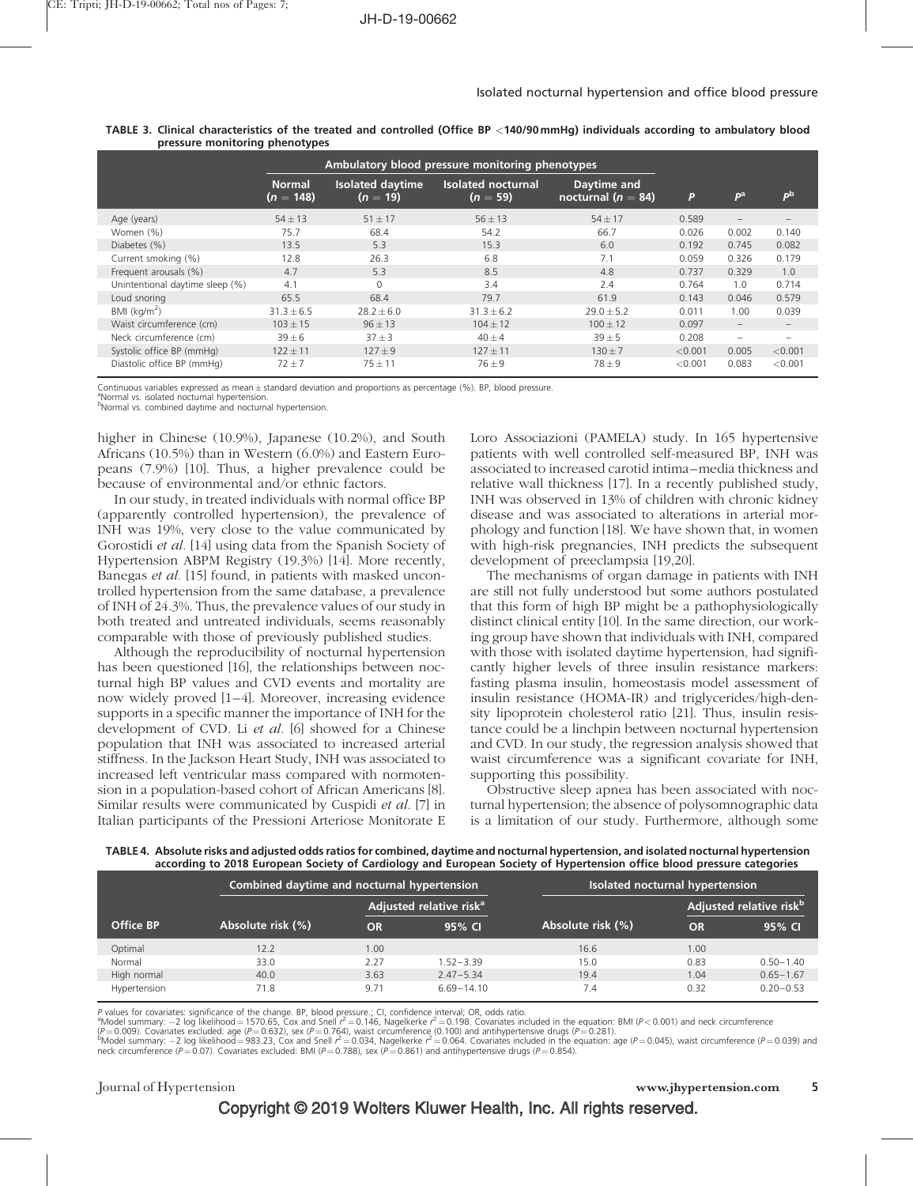|                                 |                              | Ambulatory blood pressure monitoring phenotypes |                                  |                                       |         |                                 |         |
|---------------------------------|------------------------------|-------------------------------------------------|----------------------------------|---------------------------------------|---------|---------------------------------|---------|
|                                 | <b>Normal</b><br>$(n = 148)$ | <b>Isolated daytime</b><br>$(n = 19)$           | Isolated nocturnal<br>$(n = 59)$ | Daytime and<br>nocturnal ( $n = 84$ ) | P       | P <sup>a</sup>                  | pb      |
| Age (years)                     | $54 \pm 13$                  | $51 \pm 17$                                     | $56 \pm 13$                      | $54 \pm 17$                           | 0.589   |                                 |         |
| Women (%)                       | 75.7                         | 68.4                                            | 54.2                             | 66.7                                  | 0.026   | 0.002                           | 0.140   |
| Diabetes (%)                    | 13.5                         | 5.3                                             | 15.3                             | 6.0                                   | 0.192   | 0.745                           | 0.082   |
| Current smoking (%)             | 12.8                         | 26.3                                            | 6.8                              | 7.1                                   | 0.059   | 0.326                           | 0.179   |
| Frequent arousals (%)           | 4.7                          | 5.3                                             | 8.5                              | 4.8                                   | 0.737   | 0.329                           | 1.0     |
| Unintentional daytime sleep (%) | 4.1                          | $\Omega$                                        | 3.4                              | 2.4                                   | 0.764   | 1.0                             | 0.714   |
| Loud snoring                    | 65.5                         | 68.4                                            | 79.7                             | 61.9                                  | 0.143   | 0.046                           | 0.579   |
| BMI $(kq/m2)$                   | $31.3 \pm 6.5$               | $28.2 \pm 6.0$                                  | $31.3 \pm 6.2$                   | $29.0 \pm 5.2$                        | 0.011   | 1.00                            | 0.039   |
| Waist circumference (cm)        | $103 \pm 15$                 | $96 \pm 13$                                     | $104 + 12$                       | $100 \pm 12$                          | 0.097   | $\hspace{0.1mm}-\hspace{0.1mm}$ |         |
| Neck circumference (cm)         | $39 \pm 6$                   | $37 + 3$                                        | $40 + 4$                         | $39 + 5$                              | 0.208   | $\overline{\phantom{a}}$        |         |
| Systolic office BP (mmHg)       | $122 \pm 11$                 | $127 \pm 9$                                     | $127 \pm 11$                     | $130 \pm 7$                           | < 0.001 | 0.005                           | < 0.001 |
| Diastolic office BP (mmHg)      | $72 + 7$                     | $75 \pm 11$                                     | $76 + 9$                         | $78 + 9$                              | < 0.001 | 0.083                           | < 0.001 |

|  |                                |  |  | TABLE 3. Clinical characteristics of the treated and controlled (Office BP <140/90 mmHg) individuals according to ambulatory blood |  |  |
|--|--------------------------------|--|--|------------------------------------------------------------------------------------------------------------------------------------|--|--|
|  | pressure monitoring phenotypes |  |  |                                                                                                                                    |  |  |

Continuous variables expressed as mean ± standard deviation and proportions as percentage (%). BP, blood pressure.<br><sup>a</sup>Normal ve icolated posturaal bypertencien

Normal vs. isolated nocturnal hypertension. bNormal vs. combined daytime and nocturnal hypertension.

higher in Chinese (10.9%), Japanese (10.2%), and South

Africans (10.5%) than in Western (6.0%) and Eastern Europeans (7.9%) [10]. Thus, a higher prevalence could be because of environmental and/or ethnic factors.

In our study, in treated individuals with normal office BP (apparently controlled hypertension), the prevalence of INH was 19%, very close to the value communicated by Gorostidi et al. [14] using data from the Spanish Society of Hypertension ABPM Registry (19.3%) [14]. More recently, Banegas et al. [15] found, in patients with masked uncontrolled hypertension from the same database, a prevalence of INH of 24.3%. Thus, the prevalence values of our study in both treated and untreated individuals, seems reasonably comparable with those of previously published studies.

Although the reproducibility of nocturnal hypertension has been questioned [16], the relationships between nocturnal high BP values and CVD events and mortality are now widely proved [1–4]. Moreover, increasing evidence supports in a specific manner the importance of INH for the development of CVD. Li et al. [6] showed for a Chinese population that INH was associated to increased arterial stiffness. In the Jackson Heart Study, INH was associated to increased left ventricular mass compared with normotension in a population-based cohort of African Americans [8]. Similar results were communicated by Cuspidi et al. [7] in Italian participants of the Pressioni Arteriose Monitorate E Loro Associazioni (PAMELA) study. In 165 hypertensive patients with well controlled self-measured BP, INH was associated to increased carotid intima–media thickness and relative wall thickness [17]. In a recently published study, INH was observed in 13% of children with chronic kidney disease and was associated to alterations in arterial morphology and function [18]. We have shown that, in women with high-risk pregnancies, INH predicts the subsequent development of preeclampsia [19,20].

The mechanisms of organ damage in patients with INH are still not fully understood but some authors postulated that this form of high BP might be a pathophysiologically distinct clinical entity [10]. In the same direction, our working group have shown that individuals with INH, compared with those with isolated daytime hypertension, had significantly higher levels of three insulin resistance markers: fasting plasma insulin, homeostasis model assessment of insulin resistance (HOMA-IR) and triglycerides/high-density lipoprotein cholesterol ratio [21]. Thus, insulin resistance could be a linchpin between nocturnal hypertension and CVD. In our study, the regression analysis showed that waist circumference was a significant covariate for INH, supporting this possibility.

Obstructive sleep apnea has been associated with nocturnal hypertension; the absence of polysomnographic data is a limitation of our study. Furthermore, although some

| TABLE 4. Absolute risks and adjusted odds ratios for combined, daytime and nocturnal hypertension, and isolated nocturnal hypertension |
|----------------------------------------------------------------------------------------------------------------------------------------|
| according to 2018 European Society of Cardiology and European Society of Hypertension office blood pressure categories                 |
|                                                                                                                                        |

|                  | Combined daytime and nocturnal hypertension |      |                                     | Isolated nocturnal hypertension |      |                                     |  |
|------------------|---------------------------------------------|------|-------------------------------------|---------------------------------|------|-------------------------------------|--|
|                  |                                             |      | Adjusted relative risk <sup>a</sup> |                                 |      | Adjusted relative risk <sup>b</sup> |  |
| <b>Office BP</b> | Absolute risk (%)                           | OR   | 95% CI                              | Absolute risk (%)               | OR   | 95% CI                              |  |
| Optimal          | 12.2                                        | 1.00 |                                     | 16.6                            | 1.00 |                                     |  |
| Normal           | 33.0                                        | 2.27 | 1.52-3.39                           | 15.0                            | 0.83 | $0.50 - 1.40$                       |  |
| High normal      | 40.0                                        | 3.63 | $2.47 - 5.34$                       | 19.4                            | 1.04 | $0.65 - 1.67$                       |  |
| Hypertension     | 71.8                                        | 9.71 | $6.69 - 14.10$                      | 7.4                             | 0.32 | $0.20 - 0.53$                       |  |

P values for covariates: significance of the change. BP, blood pressure.; CI, confidence interval; OR, odds ratio.<br>ªModel summary: —2 log likelihood=1570.65, Cox and Snell r<sup>2</sup>=0.146, Nagelkerke r<sup>2</sup>=0.198. Covariates incl

(P=0.009). Covariates excluded: age (P=0.632), sex (P=0.764), waist circumference (0.100) and antihypertensive drugs (P=0.281).<br>"Model summary: –2 log likelihood=983.23, Cox and Snell r<sup>2</sup>=0.034, Nagelkerke r<sup>2</sup>=0.064. Co

Journal of Hypertension www.jhypertension.com 5

Copyright © 2019 Wolters Kluwer Health, Inc. All rights reserved.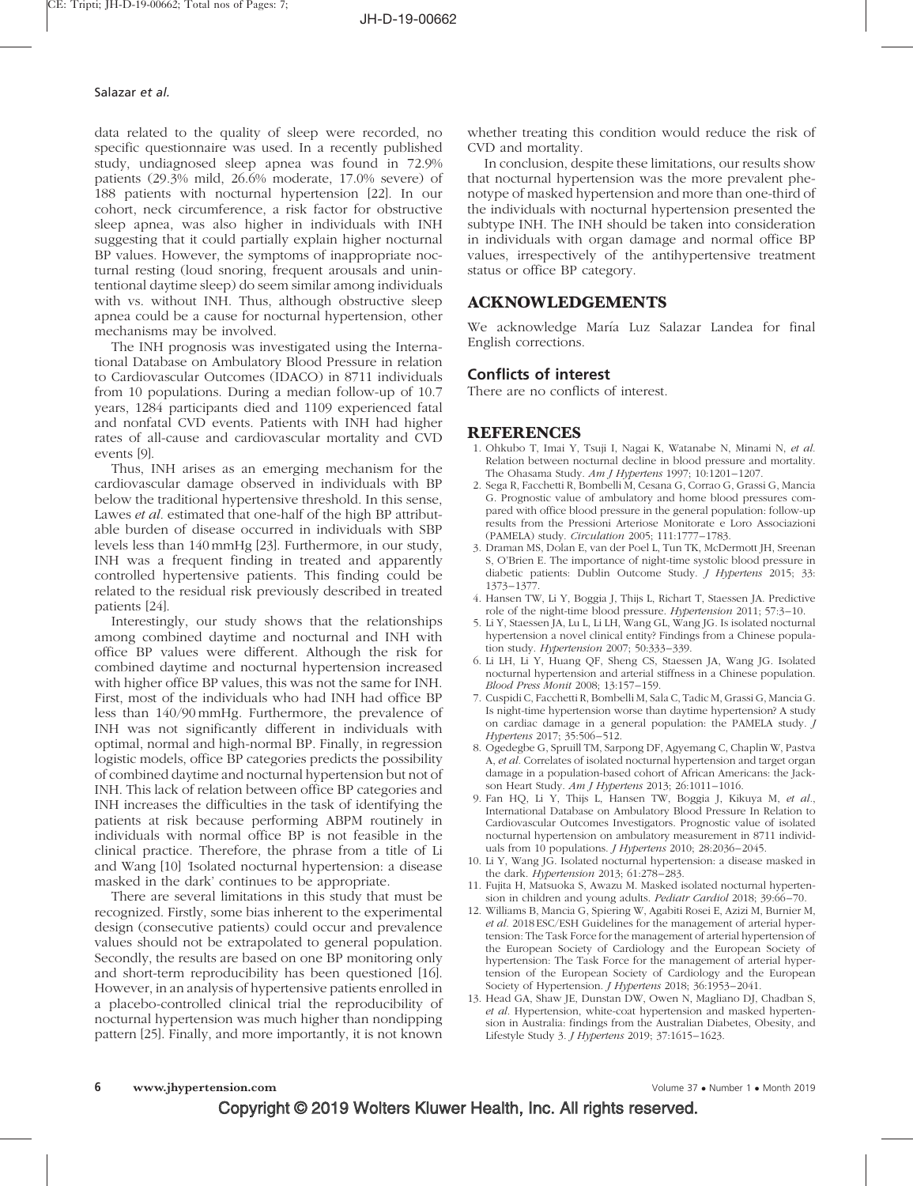data related to the quality of sleep were recorded, no specific questionnaire was used. In a recently published study, undiagnosed sleep apnea was found in 72.9% patients (29.3% mild, 26.6% moderate, 17.0% severe) of 188 patients with nocturnal hypertension [22]. In our cohort, neck circumference, a risk factor for obstructive sleep apnea, was also higher in individuals with INH suggesting that it could partially explain higher nocturnal BP values. However, the symptoms of inappropriate nocturnal resting (loud snoring, frequent arousals and unintentional daytime sleep) do seem similar among individuals with vs. without INH. Thus, although obstructive sleep apnea could be a cause for nocturnal hypertension, other mechanisms may be involved.

The INH prognosis was investigated using the International Database on Ambulatory Blood Pressure in relation to Cardiovascular Outcomes (IDACO) in 8711 individuals from 10 populations. During a median follow-up of 10.7 years, 1284 participants died and 1109 experienced fatal and nonfatal CVD events. Patients with INH had higher rates of all-cause and cardiovascular mortality and CVD events [9].

Thus, INH arises as an emerging mechanism for the cardiovascular damage observed in individuals with BP below the traditional hypertensive threshold. In this sense, Lawes et al. estimated that one-half of the high BP attributable burden of disease occurred in individuals with SBP levels less than 140 mmHg [23]. Furthermore, in our study, INH was a frequent finding in treated and apparently controlled hypertensive patients. This finding could be related to the residual risk previously described in treated patients [24].

Interestingly, our study shows that the relationships among combined daytime and nocturnal and INH with office BP values were different. Although the risk for combined daytime and nocturnal hypertension increased with higher office BP values, this was not the same for INH. First, most of the individuals who had INH had office BP less than 140/90 mmHg. Furthermore, the prevalence of INH was not significantly different in individuals with optimal, normal and high-normal BP. Finally, in regression logistic models, office BP categories predicts the possibility of combined daytime and nocturnal hypertension but not of INH. This lack of relation between office BP categories and INH increases the difficulties in the task of identifying the patients at risk because performing ABPM routinely in individuals with normal office BP is not feasible in the clinical practice. Therefore, the phrase from a title of Li and Wang [10] 'Isolated nocturnal hypertension: a disease masked in the dark' continues to be appropriate.

There are several limitations in this study that must be recognized. Firstly, some bias inherent to the experimental design (consecutive patients) could occur and prevalence values should not be extrapolated to general population. Secondly, the results are based on one BP monitoring only and short-term reproducibility has been questioned [16]. However, in an analysis of hypertensive patients enrolled in a placebo-controlled clinical trial the reproducibility of nocturnal hypertension was much higher than nondipping pattern [25]. Finally, and more importantly, it is not known

whether treating this condition would reduce the risk of CVD and mortality.

In conclusion, despite these limitations, our results show that nocturnal hypertension was the more prevalent phenotype of masked hypertension and more than one-third of the individuals with nocturnal hypertension presented the subtype INH. The INH should be taken into consideration in individuals with organ damage and normal office BP values, irrespectively of the antihypertensive treatment status or office BP category.

#### ACKNOWLEDGEMENTS

We acknowledge María Luz Salazar Landea for final English corrections.

#### Conflicts of interest

There are no conflicts of interest.

#### REFERENCES

- 1. Ohkubo T, Imai Y, Tsuji I, Nagai K, Watanabe N, Minami N, et al. Relation between nocturnal decline in blood pressure and mortality. The Ohasama Study. Am J Hypertens 1997; 10:1201–1207.
- 2. Sega R, Facchetti R, Bombelli M, Cesana G, Corrao G, Grassi G, Mancia G. Prognostic value of ambulatory and home blood pressures compared with office blood pressure in the general population: follow-up results from the Pressioni Arteriose Monitorate e Loro Associazioni (PAMELA) study. Circulation 2005; 111:1777–1783.
- 3. Draman MS, Dolan E, van der Poel L, Tun TK, McDermott JH, Sreenan S, O'Brien E. The importance of night-time systolic blood pressure in diabetic patients: Dublin Outcome Study. J Hypertens 2015; 33: 1373–1377.
- 4. Hansen TW, Li Y, Boggia J, Thijs L, Richart T, Staessen JA. Predictive role of the night-time blood pressure. Hypertension 2011; 57:3–10.
- 5. Li Y, Staessen JA, Lu L, Li LH, Wang GL, Wang JG. Is isolated nocturnal hypertension a novel clinical entity? Findings from a Chinese population study. Hypertension 2007; 50:333–339.
- 6. Li LH, Li Y, Huang QF, Sheng CS, Staessen JA, Wang JG. Isolated nocturnal hypertension and arterial stiffness in a Chinese population. Blood Press Monit 2008; 13:157–159.
- 7. Cuspidi C, Facchetti R, Bombelli M, Sala C, Tadic M, Grassi G, Mancia G. Is night-time hypertension worse than daytime hypertension? A study on cardiac damage in a general population: the PAMELA study. J Hypertens 2017; 35:506–512.
- 8. Ogedegbe G, Spruill TM, Sarpong DF, Agyemang C, Chaplin W, Pastva A, et al. Correlates of isolated nocturnal hypertension and target organ damage in a population-based cohort of African Americans: the Jackson Heart Study. Am J Hypertens 2013; 26:1011-1016.
- 9. Fan HQ, Li Y, Thijs L, Hansen TW, Boggia J, Kikuya M, et al., International Database on Ambulatory Blood Pressure In Relation to Cardiovascular Outcomes Investigators. Prognostic value of isolated nocturnal hypertension on ambulatory measurement in 8711 individuals from 10 populations. J Hypertens 2010; 28:2036–2045.
- 10. Li Y, Wang JG. Isolated nocturnal hypertension: a disease masked in the dark. Hypertension 2013; 61:278–283.
- 11. Fujita H, Matsuoka S, Awazu M. Masked isolated nocturnal hypertension in children and young adults. Pediatr Cardiol 2018; 39:66–70.
- 12. Williams B, Mancia G, Spiering W, Agabiti Rosei E, Azizi M, Burnier M, et al. 2018ESC/ESH Guidelines for the management of arterial hypertension: The Task Force for the management of arterial hypertension of the European Society of Cardiology and the European Society of hypertension: The Task Force for the management of arterial hypertension of the European Society of Cardiology and the European Society of Hypertension. *J Hypertens* 2018; 36:1953-2041.
- 13. Head GA, Shaw JE, Dunstan DW, Owen N, Magliano DJ, Chadban S, et al. Hypertension, white-coat hypertension and masked hypertension in Australia: findings from the Australian Diabetes, Obesity, and Lifestyle Study 3. J Hypertens 2019; 37:1615–1623.